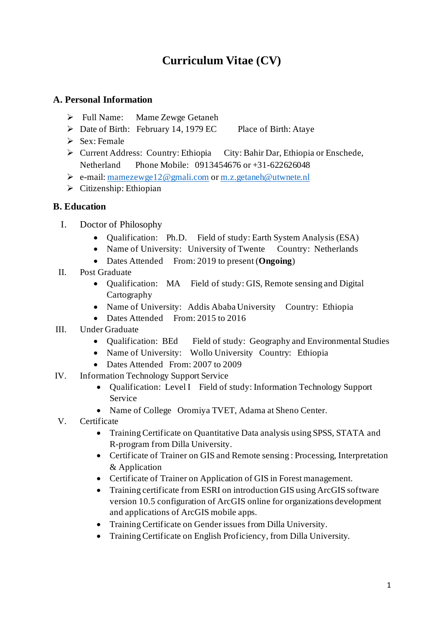# **Curriculum Vitae (CV)**

### **A. Personal Information**

- ➢ Full Name: Mame Zewge Getaneh
- ➢ Date of Birth: February 14, 1979 EC Place of Birth: Ataye
	-

- $\triangleright$  Sex: Female
- ➢ Current Address: Country: Ethiopia City: Bahir Dar, Ethiopia or Enschede, Netherland Phone Mobile: 0913454676 or +31-622626048
- ➢ e-mail: [mamezewge12@gmali.com](mailto:mamezewge12@gmali.com) o[r m.z.getaneh@utwnete.nl](mailto:m.z.getaneh@utwnete.nl)
- ➢ Citizenship: Ethiopian

## **B. Education**

- I. Doctor of Philosophy
	- Qualification: Ph.D. Field of study: Earth System Analysis (ESA)
	- Name of University: University of Twente Country: Netherlands
	- Dates Attended From: 2019 to present (**Ongoing**)
- II. Post Graduate
	- Qualification: MA Field of study: GIS, Remote sensing and Digital Cartography
	- Name of University: Addis Ababa University Country: Ethiopia
	- Dates Attended From: 2015 to 2016
- III. Under Graduate
	- Qualification: BEd Field of study: Geography and Environmental Studies
	- Name of University: Wollo University Country: Ethiopia
	- Dates Attended From: 2007 to 2009
- IV. Information Technology Support Service
	- Qualification: Level I Field of study: Information Technology Support Service
	- Name of College Oromiya TVET, Adama at Sheno Center.
- V. Certificate
	- Training Certificate on Quantitative Data analysis using SPSS, STATA and R-program from Dilla University.
	- Certificate of Trainer on GIS and Remote sensing : Processing, Interpretation & Application
	- Certificate of Trainer on Application of GIS in Forest management.
	- Training certificate from ESRI on introduction GIS using ArcGIS software version 10.5 configuration of ArcGIS online for organizations development and applications of ArcGIS mobile apps.
	- Training Certificate on Gender issues from Dilla University.
	- Training Certificate on English Proficiency, from Dilla University.